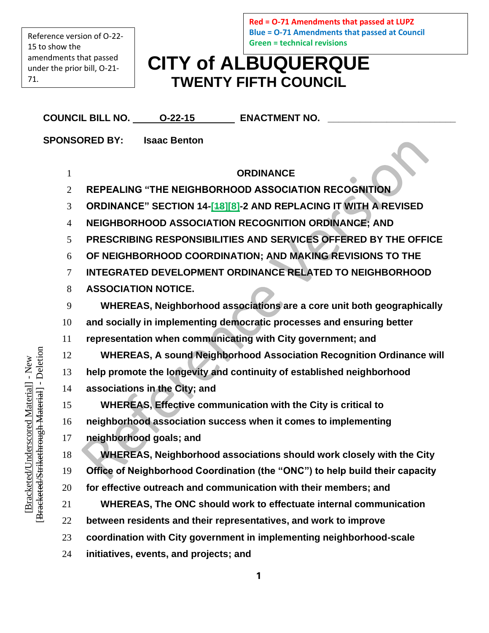Reference version of O-22- to show the amendments that passed under the prior bill, O-21- 71.

**Red = O-71 Amendments that passed at LUPZ Blue = O-71 Amendments that passed at Council Green = technical revisions**

## **CITY of ALBUQUERQUE TWENTY FIFTH COUNCIL**

|                                                  | COUNCIL BILL NO. 0-22-15 ENACTMENT NO.                                       |
|--------------------------------------------------|------------------------------------------------------------------------------|
|                                                  | <b>SPONSORED BY: Isaac Benton</b>                                            |
|                                                  |                                                                              |
| $\mathbf{1}$                                     | <b>ORDINANCE</b>                                                             |
| $\overline{2}$                                   | REPEALING "THE NEIGHBORHOOD ASSOCIATION RECOGNITION                          |
| 3                                                | ORDINANCE" SECTION 14-[48][8]-2 AND REPLACING IT WITH A REVISED              |
| $\overline{4}$                                   | <b>NEIGHBORHOOD ASSOCIATION RECOGNITION ORDINANCE: AND</b>                   |
| 5                                                | PRESCRIBING RESPONSIBILITIES AND SERVICES OFFERED BY THE OFFICE              |
| 6                                                | OF NEIGHBORHOOD COORDINATION; AND MAKING REVISIONS TO THE                    |
| $\tau$                                           | <b>INTEGRATED DEVELOPMENT ORDINANCE RELATED TO NEIGHBORHOOD</b>              |
| 8                                                | <b>ASSOCIATION NOTICE.</b>                                                   |
| 9                                                | WHEREAS, Neighborhood associations are a core unit both geographically       |
| 10                                               | and socially in implementing democratic processes and ensuring better        |
| 11                                               | representation when communicating with City government; and                  |
| 12                                               | <b>WHEREAS, A sound Neighborhood Association Recognition Ordinance will</b>  |
| keunough i <del>viatelial</del> - Deleuoll<br>13 | help promote the longevity and continuity of established neighborhood        |
| 14                                               | associations in the City; and                                                |
| 15                                               | <b>WHEREAS, Effective communication with the City is critical to</b>         |
| 16                                               | neighborhood association success when it comes to implementing               |
| 17                                               | neighborhood goals; and                                                      |
| 18                                               | <b>WHEREAS, Neighborhood associations should work closely with the City</b>  |
| 19                                               | Office of Neighborhood Coordination (the "ONC") to help build their capacity |
| 20                                               | for effective outreach and communication with their members; and             |
| <b>Diacketed Still</b><br>21                     | WHEREAS, The ONC should work to effectuate internal communication            |
| 22                                               | between residents and their representatives, and work to improve             |
| 23                                               | coordination with City government in implementing neighborhood-scale         |
| 24                                               | initiatives, events, and projects; and                                       |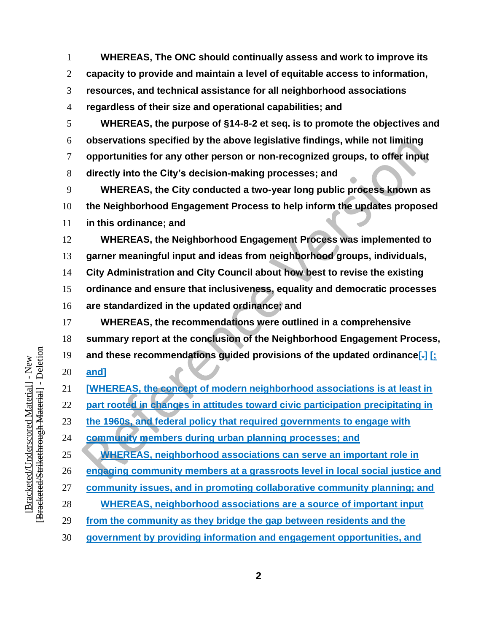**WHEREAS, The ONC should continually assess and work to improve its capacity to provide and maintain a level of equitable access to information, resources, and technical assistance for all neighborhood associations regardless of their size and operational capabilities; and**

 **WHEREAS, the purpose of §14-8-2 et seq. is to promote the objectives and observations specified by the above legislative findings, while not limiting opportunities for any other person or non-recognized groups, to offer input directly into the City's decision-making processes; and**

 **WHEREAS, the City conducted a two-year long public process known as the Neighborhood Engagement Process to help inform the updates proposed in this ordinance; and**

 **WHEREAS, the Neighborhood Engagement Process was implemented to garner meaningful input and ideas from neighborhood groups, individuals, City Administration and City Council about how best to revise the existing** 

**ordinance and ensure that inclusiveness, equality and democratic processes** 

**are standardized in the updated ordinance; and**

 **WHEREAS, the recommendations were outlined in a comprehensive summary report at the conclusion of the Neighborhood Engagement Process, and these recommendations guided provisions of the updated ordinance[.] [; and]**

**[WHEREAS, the concept of modern neighborhood associations is at least in** 

**part rooted in changes in attitudes toward civic participation precipitating in** 

**the 1960s, and federal policy that required governments to engage with** 

**community members during urban planning processes; and**

**WHEREAS, neighborhood associations can serve an important role in** 

**engaging community members at a grassroots level in local social justice and** 

**community issues, and in promoting collaborative community planning; and**

- **WHEREAS, neighborhood associations are a source of important input**
- **from the community as they bridge the gap between residents and the**
- **government by providing information and engagement opportunities, and**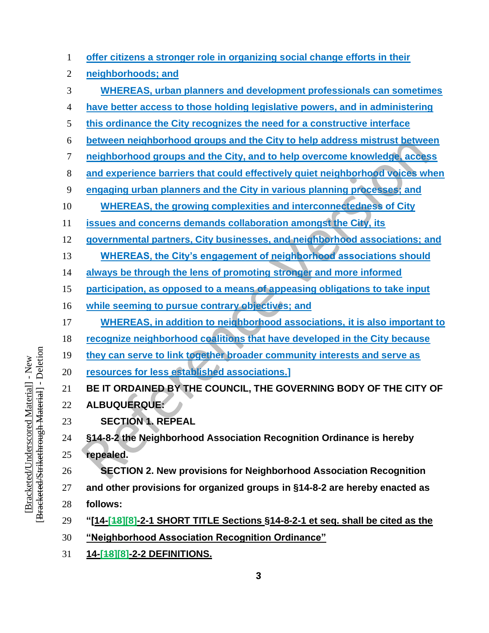| 1              | offer citizens a stronger role in organizing social change efforts in their       |
|----------------|-----------------------------------------------------------------------------------|
| $\overline{2}$ | neighborhoods; and                                                                |
| 3              | <b>WHEREAS, urban planners and development professionals can sometimes</b>        |
| 4              | have better access to those holding legislative powers, and in administering      |
| 5              | this ordinance the City recognizes the need for a constructive interface          |
| 6              | between neighborhood groups and the City to help address mistrust between         |
| 7              | neighborhood groups and the City, and to help overcome knowledge, access          |
| 8              | and experience barriers that could effectively quiet neighborhood voices when     |
| 9              | engaging urban planners and the City in various planning processes; and           |
| 10             | <b>WHEREAS, the growing complexities and interconnectedness of City</b>           |
| 11             | issues and concerns demands collaboration amongst the City, its                   |
| 12             | governmental partners, City businesses, and neighborhood associations; and        |
| 13             | <b>WHEREAS, the City's engagement of neighborhood associations should</b>         |
| 14             | always be through the lens of promoting stronger and more informed                |
| 15             | participation, as opposed to a means of appeasing obligations to take input       |
| 16             | while seeming to pursue contrary objectives; and                                  |
| 17             | <b>WHEREAS, in addition to neighborhood associations, it is also important to</b> |
| 18             | recognize neighborhood coalitions that have developed in the City because         |
| 19             | they can serve to link together broader community interests and serve as          |
| 20             | resources for less established associations.]                                     |
| 21             | BE IT ORDAINED BY THE COUNCIL, THE GOVERNING BODY OF THE CITY OF                  |
| 22             | <b>ALBUQUERQUE:</b>                                                               |
| 23             | <b>SECTION 1. REPEAL</b>                                                          |
| 24             | §14-8-2 the Neighborhood Association Recognition Ordinance is hereby              |
| 25             | repealed.                                                                         |
| 26             | <b>SECTION 2. New provisions for Neighborhood Association Recognition</b>         |
| 27             | and other provisions for organized groups in §14-8-2 are hereby enacted as        |
| 28             | follows:                                                                          |
| 29             | "[14-[48][8]-2-1 SHORT TITLE Sections §14-8-2-1 et seq. shall be cited as the     |
| 30             | "Neighborhood Association Recognition Ordinance"                                  |
| 31             | <u>14-[48][8]-2-2 DEFINITIONS.</u>                                                |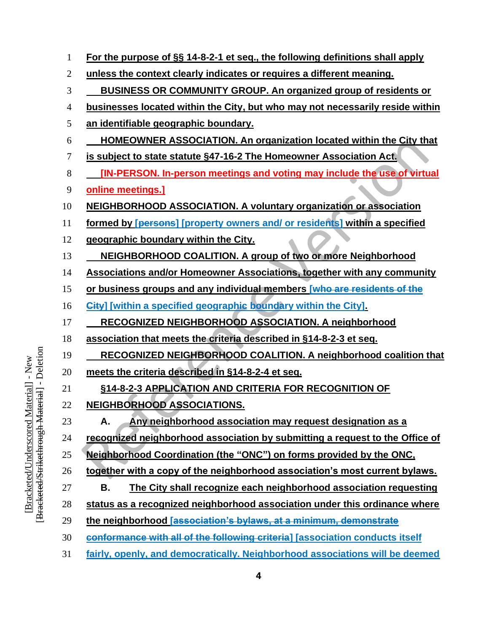| 1              | For the purpose of §§ 14-8-2-1 et seq., the following definitions shall apply   |
|----------------|---------------------------------------------------------------------------------|
| $\overline{2}$ | unless the context clearly indicates or requires a different meaning.           |
| 3              | BUSINESS OR COMMUNITY GROUP. An organized group of residents or                 |
| 4              | businesses located within the City, but who may not necessarily reside within   |
| 5              | an identifiable geographic boundary.                                            |
| 6              | <b>HOMEOWNER ASSOCIATION. An organization located within the City that</b>      |
| 7              | is subject to state statute §47-16-2 The Homeowner Association Act.             |
| 8              | <b>[IN-PERSON. In-person meetings and voting may include the use of virtual</b> |
| 9              | online meetings.]                                                               |
| 10             | <b>NEIGHBORHOOD ASSOCIATION. A voluntary organization or association</b>        |
| 11             | formed by [persons] [property owners and/ or residents] within a specified      |
| 12             | geographic boundary within the City.                                            |
| 13             | NEIGHBORHOOD COALITION. A group of two or more Neighborhood                     |
| 14             | Associations and/or Homeowner Associations, together with any community         |
| 15             | or business groups and any individual members [who are residents of the         |
| 16             | City] [within a specified geographic boundary within the City].                 |
| 17             | <b>RECOGNIZED NEIGHBORHOOD ASSOCIATION. A neighborhood</b>                      |
| 18             | association that meets the criteria described in §14-8-2-3 et seq.              |
| 19             | <b>RECOGNIZED NEIGHBORHOOD COALITION. A neighborhood coalition that</b>         |
| 20             | meets the criteria described in §14-8-2-4 et seq.                               |
| 21             | <b>§14-8-2-3 APPLICATION AND CRITERIA FOR RECOGNITION OF</b>                    |
| 22             | NEIGHBORHOOD ASSOCIATIONS.                                                      |
| 23             | Any neighborhood association may request designation as a<br>А.                 |
| 24             | recognized neighborhood association by submitting a request to the Office of    |
| 25             | Neighborhood Coordination (the "ONC") on forms provided by the ONC,             |
| 26             | together with a copy of the neighborhood association's most current bylaws.     |
| 27             | The City shall recognize each neighborhood association requesting<br>В.         |
| 28             | status as a recognized neighborhood association under this ordinance where      |
| 29             | the neighborhood [association's bylaws, at a minimum, demonstrate               |
| 30             | conformance with all of the following criteria] [association conducts itself    |
| 31             | fairly, openly, and democratically. Neighborhood associations will be deemed    |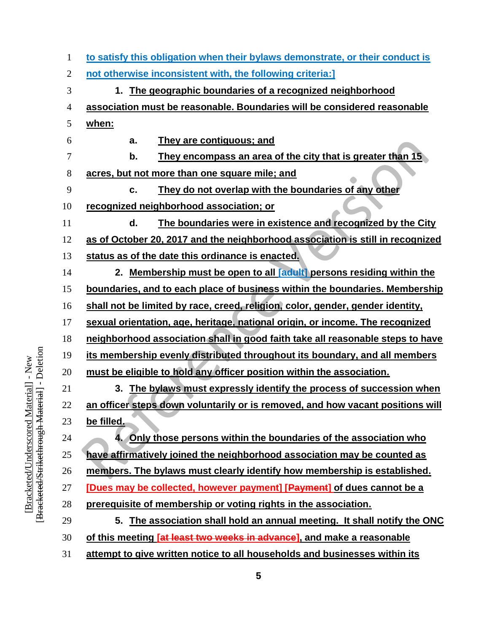| 1              | to satisfy this obligation when their bylaws demonstrate, or their conduct is  |
|----------------|--------------------------------------------------------------------------------|
| $\overline{2}$ | not otherwise inconsistent with, the following criteria:]                      |
| 3              | The geographic boundaries of a recognized neighborhood<br>1.                   |
| 4              | association must be reasonable. Boundaries will be considered reasonable       |
| 5              | when:                                                                          |
| 6              | They are contiguous; and<br>a.                                                 |
| 7              | b.<br>They encompass an area of the city that is greater than 15               |
| 8              | acres, but not more than one square mile; and                                  |
| 9              | They do not overlap with the boundaries of any other<br>c.                     |
| 10             | recognized neighborhood association; or                                        |
| 11             | The boundaries were in existence and recognized by the City<br>d.              |
| 12             | as of October 20, 2017 and the neighborhood association is still in recognized |
| 13             | status as of the date this ordinance is enacted.                               |
| 14             | 2. Membership must be open to all [adult] persons residing within the          |
| 15             | boundaries, and to each place of business within the boundaries. Membership    |
| 16             | shall not be limited by race, creed, religion, color, gender, gender identity, |
| 17             | sexual orientation, age, heritage, national origin, or income. The recognized  |
| 18             | neighborhood association shall in good faith take all reasonable steps to have |
| 19             | its membership evenly distributed throughout its boundary, and all members     |
| 20             | must be eligible to hold any officer position within the association.          |
| 21             | 3. The bylaws must expressly identify the process of succession when           |
| 22             | an officer steps down voluntarily or is removed, and how vacant positions will |
| 23             | be filled.                                                                     |
| 24             | 4. Only those persons within the boundaries of the association who             |
| 25             | have affirmatively joined the neighborhood association may be counted as       |
| 26             | members. The bylaws must clearly identify how membership is established.       |
| 27             | [Dues may be collected, however payment] [Payment] of dues cannot be a         |
| 28             | prerequisite of membership or voting rights in the association.                |
| 29             | The association shall hold an annual meeting. It shall notify the ONC<br>5.    |
| 30             | of this meeting [at least two weeks in advance], and make a reasonable         |
| 31             | attempt to give written notice to all households and businesses within its     |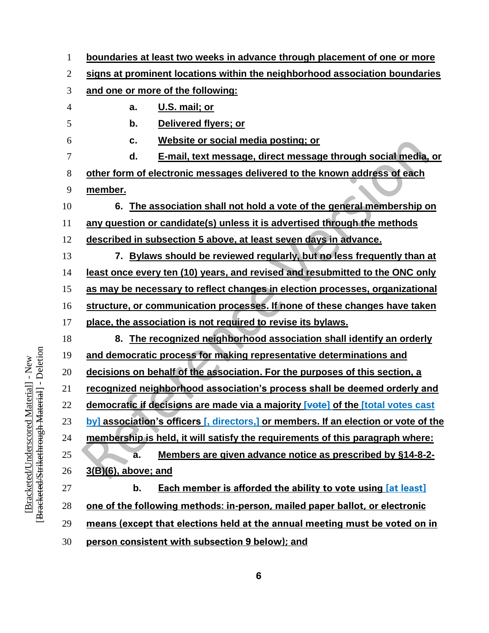| $\mathbf{1}$   | boundaries at least two weeks in advance through placement of one or more           |
|----------------|-------------------------------------------------------------------------------------|
| 2              | signs at prominent locations within the neighborhood association boundaries         |
| 3              | and one or more of the following:                                                   |
| $\overline{4}$ | U.S. mail; or<br>a.                                                                 |
| 5              | b.<br>Delivered flyers; or                                                          |
| 6              | Website or social media posting; or<br>c.                                           |
| 7              | E-mail, text message, direct message through social media, or<br>d.                 |
| 8              | other form of electronic messages delivered to the known address of each            |
| 9              | member.                                                                             |
| 10             | 6. The association shall not hold a vote of the general membership on               |
| 11             | any question or candidate(s) unless it is advertised through the methods            |
| 12             | described in subsection 5 above, at least seven days in advance.                    |
| 13             | 7. Bylaws should be reviewed regularly, but no less frequently than at              |
| 14             | least once every ten (10) years, and revised and resubmitted to the ONC only        |
| 15             | as may be necessary to reflect changes in election processes, organizational        |
| 16             | structure, or communication processes. If none of these changes have taken          |
| 17             | place, the association is not required to revise its bylaws.                        |
| 18             | 8. The recognized neighborhood association shall identify an orderly                |
| 19             | and democratic process for making representative determinations and                 |
| 20             | decisions on behalf of the association. For the purposes of this section, a         |
| 21             | recognized neighborhood association's process shall be deemed orderly and           |
| 22             | democratic if decisions are made via a majority [vote] of the [total votes cast     |
| 23             | by] association's officers [, directors,] or members. If an election or vote of the |
| 24             | membership is held, it will satisfy the requirements of this paragraph where:       |
| 25             | Members are given advance notice as prescribed by §14-8-2-<br>a.                    |
| 26             | 3(B)(6), above; and                                                                 |
| 27             | <b>Each member is afforded the ability to vote using [at least]</b><br>b.           |
| 28             | one of the following methods: in-person, mailed paper ballot, or electronic         |
| 29             | means (except that elections held at the annual meeting must be voted on in         |
| 30             | person consistent with subsection 9 below); and                                     |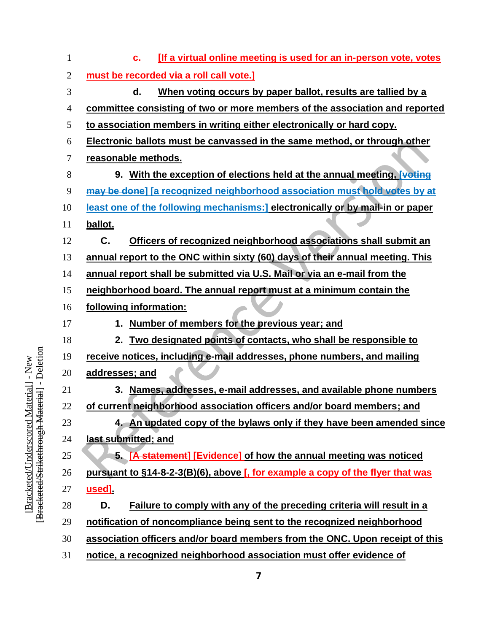| 1              | <b>If a virtual online meeting is used for an in-person vote, votes</b><br>c.  |
|----------------|--------------------------------------------------------------------------------|
| $\overline{2}$ | must be recorded via a roll call vote.]                                        |
| 3              | When voting occurs by paper ballot, results are tallied by a<br>d.             |
| 4              | committee consisting of two or more members of the association and reported    |
| 5              | to association members in writing either electronically or hard copy.          |
| 6              | Electronic ballots must be canvassed in the same method, or through other      |
| 7              | reasonable methods.                                                            |
| 8              | 9. With the exception of elections held at the annual meeting, voting          |
| 9              | may be done] [a recognized neighborhood association must hold votes by at      |
| 10             | least one of the following mechanisms: electronically or by mail-in or paper   |
| 11             | ballot.                                                                        |
| 12             | C.<br>Officers of recognized neighborhood associations shall submit an         |
| 13             | annual report to the ONC within sixty (60) days of their annual meeting. This  |
| 14             | annual report shall be submitted via U.S. Mail or via an e-mail from the       |
| 15             | neighborhood board. The annual report must at a minimum contain the            |
| 16             | following information:                                                         |
| 17             | Number of members for the previous year; and<br>1.                             |
| 18             | Two designated points of contacts, who shall be responsible to<br>2.           |
| 19             | receive notices, including e-mail addresses, phone numbers, and mailing        |
| 20             | addresses; and                                                                 |
| 21             | Names, addresses, e-mail addresses, and available phone numbers<br>3.          |
| 22             | of current neighborhood association officers and/or board members; and         |
| 23             | 4. An updated copy of the bylaws only if they have been amended since          |
| 24             | last submitted; and                                                            |
| 25             | 5. [A statement] [Evidence] of how the annual meeting was noticed              |
| 26             | pursuant to §14-8-2-3(B)(6), above [, for example a copy of the flyer that was |
| 27             | used]                                                                          |
| 28             | Failure to comply with any of the preceding criteria will result in a<br>D.    |
| 29             | notification of noncompliance being sent to the recognized neighborhood        |
| 30             | association officers and/or board members from the ONC. Upon receipt of this   |
| 31             | notice, a recognized neighborhood association must offer evidence of           |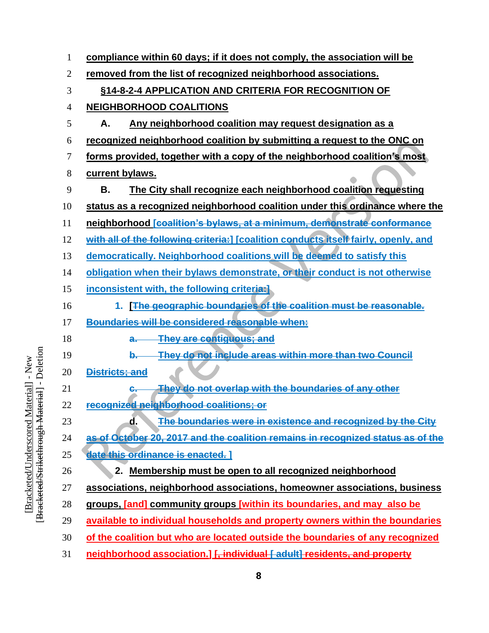| 1              |                       | compliance within 60 days; if it does not comply, the association will be           |
|----------------|-----------------------|-------------------------------------------------------------------------------------|
| $\overline{2}$ |                       | removed from the list of recognized neighborhood associations.                      |
| 3              |                       | §14-8-2-4 APPLICATION AND CRITERIA FOR RECOGNITION OF                               |
| $\overline{4}$ |                       | <b>NEIGHBORHOOD COALITIONS</b>                                                      |
| 5              | А.                    | Any neighborhood coalition may request designation as a                             |
| 6              |                       | recognized neighborhood coalition by submitting a request to the ONC on             |
| 7              |                       | forms provided, together with a copy of the neighborhood coalition's most           |
| 8              | current bylaws.       |                                                                                     |
| 9              | В.                    | The City shall recognize each neighborhood coalition requesting                     |
| 10             |                       | status as a recognized neighborhood coalition under this ordinance where the        |
| 11             |                       | neighborhood [coalition's bylaws, at a minimum, demonstrate conformance             |
| 12             |                       | with all of the following criteria: [ coalition conducts itself fairly, openly, and |
| 13             |                       | democratically. Neighborhood coalitions will be deemed to satisfy this              |
| 14             |                       | obligation when their bylaws demonstrate, or their conduct is not otherwise         |
| 15             |                       | inconsistent with, the following criteria:                                          |
| 16             | 1.                    | [The geographic boundaries of the coalition must be reasonable.                     |
| 17             |                       | <b>Boundaries will be considered reasonable when:</b>                               |
| 18             |                       | They are contiguous; and<br>a.                                                      |
| 19             |                       | They do not include areas within more than two Council<br>$b -$                     |
| 20             | <b>Districts; and</b> |                                                                                     |
| 21             |                       | They do not overlap with the boundaries of any other<br>е.                          |
| 22             |                       | recognized neighborhood coalitions: or                                              |
| 23             |                       | The boundaries were in existence and recognized by the City<br>d.                   |
| 24             |                       | as of October 20, 2017 and the coalition remains in recognized status as of the     |
| 25             |                       | date this ordinance is enacted. 1                                                   |
| 26             |                       | 2. Membership must be open to all recognized neighborhood                           |
| 27             |                       | associations, neighborhood associations, homeowner associations, business           |
| 28             |                       | groups, [and] community groups [within its boundaries, and may also be              |
| 29             |                       | available to individual households and property owners within the boundaries        |
| 30             |                       | of the coalition but who are located outside the boundaries of any recognized       |
| 31             |                       | neighborhood association.] [, individual [ adult] residents, and property           |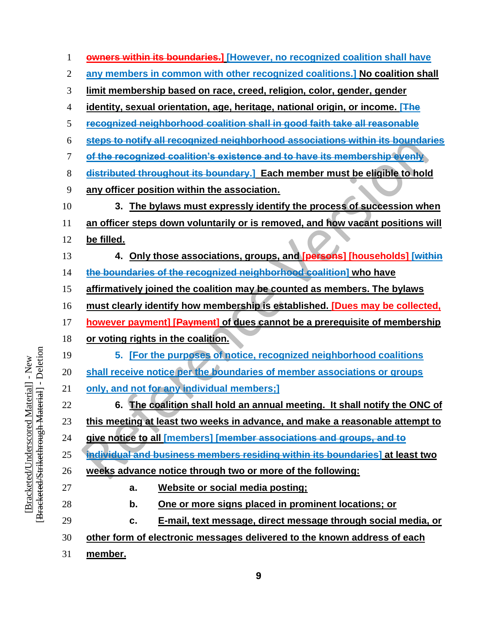| 1              | <b>owners within its boundaries.]</b> [However, no recognized coalition shall have |
|----------------|------------------------------------------------------------------------------------|
| $\mathbf{2}$   | any members in common with other recognized coalitions.] No coalition shall        |
| 3              | limit membership based on race, creed, religion, color, gender, gender             |
| $\overline{4}$ | identity, sexual orientation, age, heritage, national origin, or income. [The      |
| 5              | recognized neighborhood coalition shall in good faith take all reasonable          |
| 6              | steps to notify all recognized neighborhood associations within its boundaries     |
| 7              | of the recognized coalition's existence and to have its membership evenly          |
| 8              | distributed throughout its boundary.] Each member must be eligible to hold         |
| 9              | any officer position within the association.                                       |
| 10             | 3. The bylaws must expressly identify the process of succession when               |
| 11             | an officer steps down voluntarily or is removed, and how vacant positions will     |
| 12             | be filled.                                                                         |
| 13             | 4. Only those associations, groups, and [persons] [households] [within             |
| 14             | the boundaries of the recognized neighborhood coalition] who have                  |
| 15             | affirmatively joined the coalition may be counted as members. The bylaws           |
| 16             | must clearly identify how membership is established. [Dues may be collected,       |
| 17             | however payment] [Payment] of dues cannot be a prerequisite of membership          |
| 18             | or voting rights in the coalition.                                                 |
| 19             | 5. [For the purposes of notice, recognized neighborhood coalitions                 |
| 20             | shall receive notice per the boundaries of member associations or groups           |
| 21             | only, and not for any individual members;]                                         |
| 22             | 6. The coalition shall hold an annual meeting. It shall notify the ONC of          |
| 23             | this meeting at least two weeks in advance, and make a reasonable attempt to       |
| 24             | give notice to all [members] [member associations and groups, and to               |
| 25             | individual and business members residing within its boundaries] at least two       |
| 26             | weeks advance notice through two or more of the following:                         |
| 27             | Website or social media posting;<br>a.                                             |
| 28             | One or more signs placed in prominent locations; or<br>b.                          |
| 29             | E-mail, text message, direct message through social media, or<br>c.                |
| 30             | other form of electronic messages delivered to the known address of each           |
| 31             | member.                                                                            |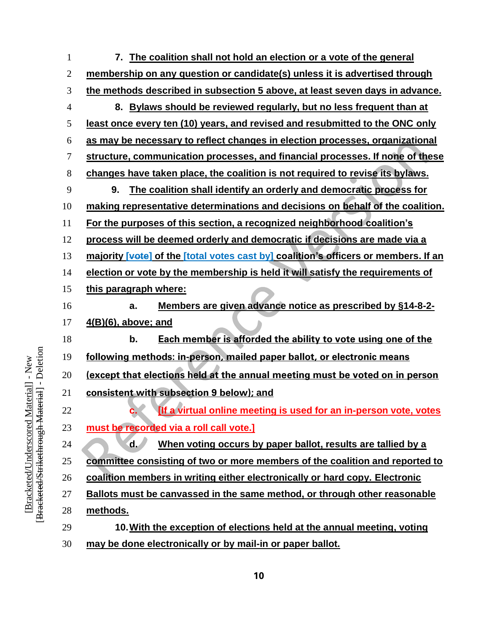**7. The coalition shall not hold an election or a vote of the general membership on any question or candidate(s) unless it is advertised through the methods described in subsection 5 above, at least seven days in advance. 8. Bylaws should be reviewed regularly, but no less frequent than at least once every ten (10) years, and revised and resubmitted to the ONC only as may be necessary to reflect changes in election processes, organizational structure, communication processes, and financial processes. If none of these changes have taken place, the coalition is not required to revise its bylaws. 9. The coalition shall identify an orderly and democratic process for making representative determinations and decisions on behalf of the coalition. For the purposes of this section, a recognized neighborhood coalition's process will be deemed orderly and democratic if decisions are made via a majority [vote] of the [total votes cast by] coalition's officers or members. If an election or vote by the membership is held it will satisfy the requirements of this paragraph where: a. Members are given advance notice as prescribed by §14-8-2- 4(B)(6), above; and b. Each member is afforded the ability to vote using one of the following methods: in-person, mailed paper ballot, or electronic means (except that elections held at the annual meeting must be voted on in person consistent with subsection 9 below); and c. [If a virtual online meeting is used for an in-person vote, votes must be recorded via a roll call vote.] d. When voting occurs by paper ballot, results are tallied by a committee consisting of two or more members of the coalition and reported to coalition members in writing either electronically or hard copy. Electronic Ballots must be canvassed in the same method, or through other reasonable methods. 10.With the exception of elections held at the annual meeting, voting may be done electronically or by mail-in or paper ballot.**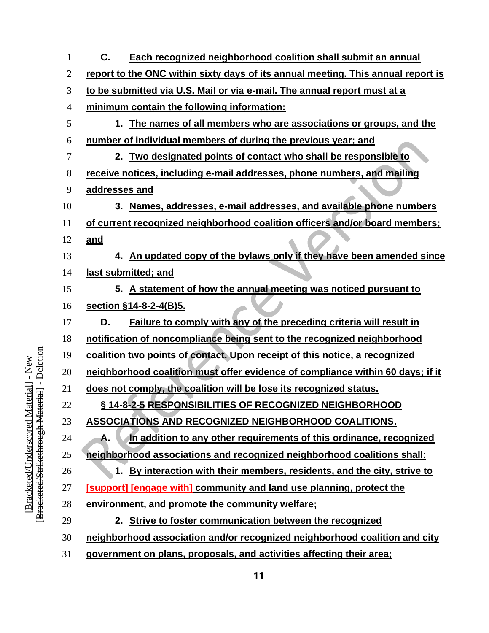| 1              | C.<br>Each recognized neighborhood coalition shall submit an annual              |
|----------------|----------------------------------------------------------------------------------|
| 2              | report to the ONC within sixty days of its annual meeting. This annual report is |
| 3              | to be submitted via U.S. Mail or via e-mail. The annual report must at a         |
| $\overline{4}$ | minimum contain the following information:                                       |
| 5              | 1. The names of all members who are associations or groups, and the              |
| 6              | number of individual members of during the previous year; and                    |
| 7              | 2. Two designated points of contact who shall be responsible to                  |
| 8              | receive notices, including e-mail addresses, phone numbers, and mailing          |
| 9              | addresses and                                                                    |
| 10             | 3. Names, addresses, e-mail addresses, and available phone numbers               |
| 11             | of current recognized neighborhood coalition officers and/or board members;      |
| 12             | <u>and</u>                                                                       |
| 13             | 4. An updated copy of the bylaws only if they have been amended since            |
| 14             | last submitted; and                                                              |
| 15             | 5. A statement of how the annual meeting was noticed pursuant to                 |
| 16             | section §14-8-2-4(B)5.                                                           |
| 17             | Failure to comply with any of the preceding criteria will result in<br>D.        |
| 18             | notification of noncompliance being sent to the recognized neighborhood          |
| 19             | coalition two points of contact. Upon receipt of this notice, a recognized       |
| 20             | neighborhood coalition must offer evidence of compliance within 60 days; if it   |
| 21             | does not comply, the coalition will be lose its recognized status.               |
| 22             | §14-8-2-5 RESPONSIBILITIES OF RECOGNIZED NEIGHBORHOOD                            |
| 23             | <b>ASSOCIATIONS AND RECOGNIZED NEIGHBORHOOD COALITIONS.</b>                      |
| 24             | In addition to any other requirements of this ordinance, recognized<br>Α.        |
| 25             | neighborhood associations and recognized neighborhood coalitions shall:          |
| 26             | 1. By interaction with their members, residents, and the city, strive to         |
| 27             | <b>[support]</b> [engage with] community and land use planning, protect the      |
| 28             | environment, and promote the community welfare;                                  |
| 29             | 2. Strive to foster communication between the recognized                         |
| 30             | neighborhood association and/or recognized neighborhood coalition and city       |
| 31             | government on plans, proposals, and activities affecting their area;             |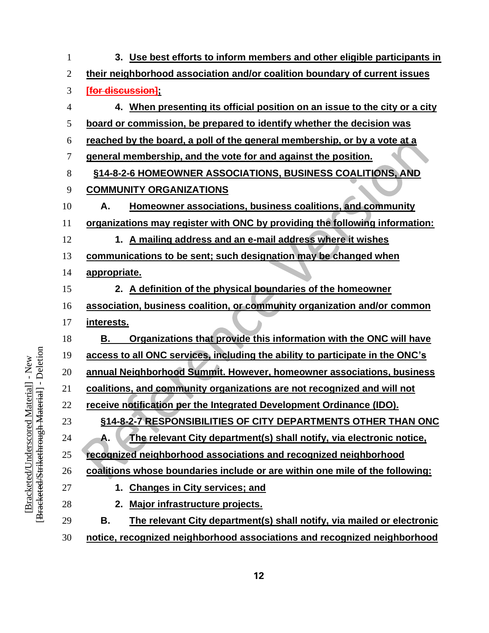| 1              | 3. Use best efforts to inform members and other eligible participants in      |
|----------------|-------------------------------------------------------------------------------|
| $\overline{2}$ | their neighborhood association and/or coalition boundary of current issues    |
| 3              | [for discussion]                                                              |
| 4              | 4. When presenting its official position on an issue to the city or a city    |
| 5              | board or commission, be prepared to identify whether the decision was         |
| 6              | reached by the board, a poll of the general membership, or by a vote at a     |
| 7              | general membership, and the vote for and against the position.                |
| 8              | §14-8-2-6 HOMEOWNER ASSOCIATIONS, BUSINESS COALITIONS, AND                    |
| 9              | <b>COMMUNITY ORGANIZATIONS</b>                                                |
| 10             | Homeowner associations, business coalitions, and community<br>А.              |
| 11             | organizations may register with ONC by providing the following information:   |
| 12             | 1. A mailing address and an e-mail address where it wishes                    |
| 13             | communications to be sent; such designation may be changed when               |
| 14             | appropriate.                                                                  |
| 15             | 2. A definition of the physical boundaries of the homeowner                   |
| 16             | association, business coalition, or community organization and/or common      |
| 17             | interests.                                                                    |
| 18             | Organizations that provide this information with the ONC will have<br>В.      |
| 19             | access to all ONC services, including the ability to participate in the ONC's |
| 20             | annual Neighborhood Summit. However, homeowner associations, business         |
| 21             | coalitions, and community organizations are not recognized and will not       |
| 22             | <u>receive notification per the Integrated Development Ordinance (IDO).</u>   |
| 23             | §14-8-2-7 RESPONSIBILITIES OF CITY DEPARTMENTS OTHER THAN ONC                 |
| 24             | The relevant City department(s) shall notify, via electronic notice,<br>А.    |
| 25             | recognized neighborhood associations and recognized neighborhood              |
| 26             | coalitions whose boundaries include or are within one mile of the following:  |
| 27             | <b>Changes in City services; and</b><br>1.                                    |
| 28             | Major infrastructure projects.<br>2.                                          |
| 29             | The relevant City department(s) shall notify, via mailed or electronic<br>В.  |
| 30             | notice, recognized neighborhood associations and recognized neighborhood      |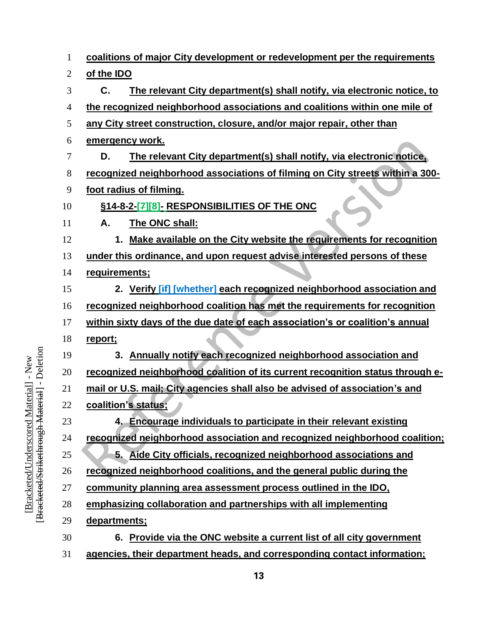| $\mathbf{1}$   | coalitions of major City development or redevelopment per the requirements     |
|----------------|--------------------------------------------------------------------------------|
| $\overline{c}$ | of the IDO                                                                     |
| 3              | C.<br>The relevant City department(s) shall notify, via electronic notice, to  |
| 4              | the recognized neighborhood associations and coalitions within one mile of     |
| 5              | any City street construction, closure, and/or major repair, other than         |
| 6              | emergency work.                                                                |
| 7              | The relevant City department(s) shall notify, via electronic notice,<br>D.     |
| 8              | recognized neighborhood associations of filming on City streets within a 300-  |
| 9              | foot radius of filming.                                                        |
| 10             | <b>§14-8-2-[7][8]- RESPONSIBILITIES OF THE ONC</b>                             |
| 11             | The ONC shall:<br>А.                                                           |
| 12             | 1. Make available on the City website the requirements for recognition         |
| 13             | under this ordinance, and upon request advise interested persons of these      |
| 14             | requirements;                                                                  |
| 15             | 2. Verify [if] [whether] each recognized neighborhood association and          |
| 16             | recognized neighborhood coalition has met the requirements for recognition     |
| 17             | within sixty days of the due date of each association's or coalition's annual  |
| 18             | report;                                                                        |
| 19             | 3. Annually notify each recognized neighborhood association and                |
| 20             | recognized neighborhood coalition of its current recognition status through e- |
| 21             | mail or U.S. mail; City agencies shall also be advised of association's and    |
| 22             | coalition's status;                                                            |
| 23             | 4. Encourage individuals to participate in their relevant existing             |
| 24             | recognized neighborhood association and recognized neighborhood coalition;     |
| 25             | 5. Aide City officials, recognized neighborhood associations and               |
| 26             | recognized neighborhood coalitions, and the general public during the          |
| 27             | community planning area assessment process outlined in the IDO,                |
| 28             | emphasizing collaboration and partnerships with all implementing               |
| 29             | departments;                                                                   |
| 30             | Provide via the ONC website a current list of all city government<br>6.        |
| 31             | agencies, their department heads, and corresponding contact information;       |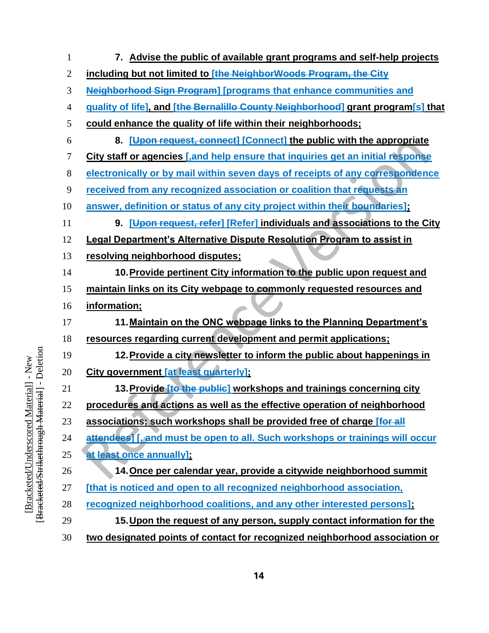| 1              | 7. Advise the public of available grant programs and self-help projects          |
|----------------|----------------------------------------------------------------------------------|
| $\overline{2}$ | including but not limited to [the NeighborWoods Program, the City                |
| 3              | <b>Neighborhood Sign Program] [programs that enhance communities and</b>         |
| 4              | guality of life], and [the Bernalillo County Neighborhood] grant program[s] that |
| 5              | could enhance the quality of life within their neighborhoods;                    |
| 6              | 8. [Upon request, connect] [Connect] the public with the appropriate             |
| 7              | City staff or agencies [,and help ensure that inquiries get an initial response  |
| 8              | electronically or by mail within seven days of receipts of any correspondence    |
| 9              | received from any recognized association or coalition that requests an           |
| 10             | answer, definition or status of any city project within their boundaries];       |
| 11             | 9. [Upon request, refer] [Refer] individuals and associations to the City        |
| 12             | <b>Legal Department's Alternative Dispute Resolution Program to assist in</b>    |
| 13             | resolving neighborhood disputes;                                                 |
| 14             | 10. Provide pertinent City information to the public upon request and            |
| 15             | maintain links on its City webpage to commonly requested resources and           |
| 16             | information;                                                                     |
| 17             | 11. Maintain on the ONC webpage links to the Planning Department's               |
| 18             | resources regarding current development and permit applications;                 |
| 19             | 12. Provide a city newsletter to inform the public about happenings in           |
| 20             | City government [at least quarterly];                                            |
| 21             | 13. Provide [to the public] workshops and trainings concerning city              |
| 22             | procedures and actions as well as the effective operation of neighborhood        |
| 23             | associations; such workshops shall be provided free of charge [for all           |
| 24             | attendees [, and must be open to all. Such workshops or trainings will occur     |
| 25             | at least once annually];                                                         |
| 26             | 14. Once per calendar year, provide a citywide neighborhood summit               |
| 27             | [that is noticed and open to all recognized neighborhood association,            |
| 28             | recognized neighborhood coalitions, and any other interested persons];           |
| 29             | 15. Upon the request of any person, supply contact information for the           |
| 30             | two designated points of contact for recognized neighborhood association or      |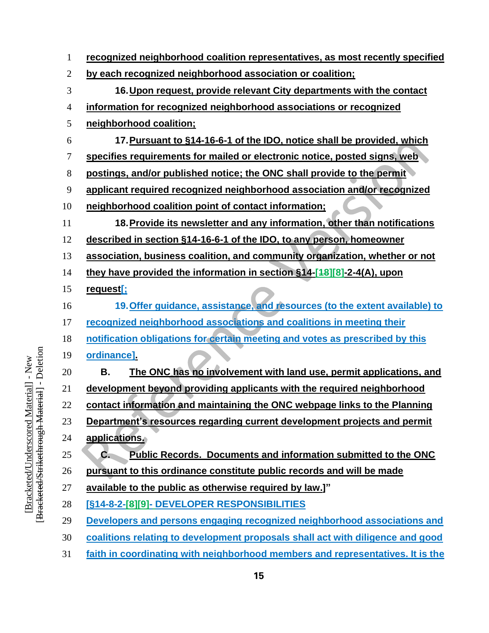| $\mathbf{1}$   | recognized neighborhood coalition representatives, as most recently specified           |
|----------------|-----------------------------------------------------------------------------------------|
| $\overline{2}$ | by each recognized neighborhood association or coalition;                               |
| 3              | 16. Upon request, provide relevant City departments with the contact                    |
| $\overline{4}$ | information for recognized neighborhood associations or recognized                      |
| 5              | neighborhood coalition;                                                                 |
| 6              | 17. Pursuant to §14-16-6-1 of the IDO, notice shall be provided, which                  |
| 7              | specifies requirements for mailed or electronic notice, posted signs, web               |
| 8              | postings, and/or published notice; the ONC shall provide to the permit                  |
| 9              | applicant required recognized neighborhood association and/or recognized                |
| 10             | neighborhood coalition point of contact information;                                    |
| 11             | 18. Provide its newsletter and any information, other than notifications                |
| 12             | described in section §14-16-6-1 of the IDO, to any person, homeowner                    |
| 13             | association, business coalition, and community organization, whether or not             |
| 14             | they have provided the information in section §14-[48][8]-2-4(A), upon                  |
| 15             | request[;                                                                               |
| 16             | 19. Offer guidance, assistance, and resources (to the extent available) to              |
| 17             | recognized neighborhood associations and coalitions in meeting their                    |
| 18             | notification obligations for certain meeting and votes as prescribed by this            |
| 19             | ordinance]                                                                              |
| 20             | В.<br>The ONC has no involvement with land use, permit applications, and                |
| 21             | development beyond providing applicants with the required neighborhood                  |
| 22             | contact information and maintaining the ONC webpage links to the Planning               |
| 23             | Department's resources regarding current development projects and permit                |
| 24             | applications.                                                                           |
| 25             | <b>Public Records. Documents and information submitted to the ONC</b><br>$\mathbf{C}$ . |
| 26             | pursuant to this ordinance constitute public records and will be made                   |
| 27             | available to the public as otherwise required by law.]"                                 |
| 28             | [§14-8-2-[8][9]- DEVELOPER RESPONSIBILITIES                                             |
| 29             | Developers and persons engaging recognized neighborhood associations and                |
| 30             | coalitions relating to development proposals shall act with diligence and good          |
| $\bigcap$ 1    |                                                                                         |

**faith in coordinating with neighborhood members and representatives. It is the**